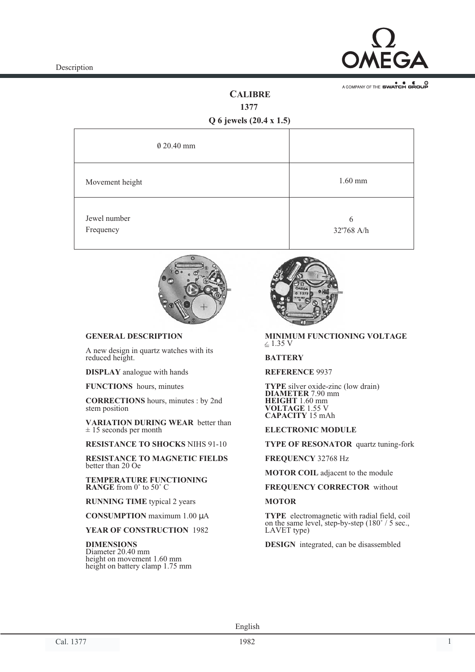

A COMPANY OF THE SWATCH GROUP

# **CALIBRE**

**1377**

**Q 6 jewels (20.4 x 1.5)**

| 0 20.40 mm                |                 |
|---------------------------|-----------------|
| Movement height           | $1.60$ mm       |
| Jewel number<br>Frequency | 6<br>32'768 A/h |



## **GENERAL DESCRIPTION**

A new design in quartz watches with its reduced height.

**DISPLAY** analogue with hands

**FUNCTIONS** hours, minutes

**CORRECTIONS** hours, minutes : by 2nd stem position

**VARIATION DURING WEAR** better than  $± 15$  seconds per month

**RESISTANCE TO SHOCKS** NIHS 91-10

**RESISTANCE TO MAGNETIC FIELDS** better than 20 Oe

**TEMPERATURE FUNCTIONING RANGE** from 0˚ to 50˚ C

**RUNNING TIME** typical 2 years

**CONSUMPTION** maximum 1.00 µA

**YEAR OF CONSTRUCTION** 1982

**DIMENSIONS** Diameter 20.40 mm height on movement 1.60 mm height on battery clamp 1.75 mm



 $\leq$  1.35 V **MINIMUM FUNCTIONING VOLTAGE**

#### **BATTERY**

**REFERENCE** 9937

**TYPE** silver oxide-zinc (low drain) **DIAMETER** 7.90 mm **HEIGHT** 1.60 mm **VOLTAGE** 1.55 V **CAPACITY** 15 mAh

#### **ELECTRONIC MODULE**

**TYPE OF RESONATOR** quartz tuning-fork

**FREQUENCY** 32768 Hz

**MOTOR COIL** adjacent to the module

**FREQUENCY CORRECTOR** without

#### **MOTOR**

**TYPE** electromagnetic with radial field, coil on the same level, step-by-step (180˚ / 5 sec., LAVET type)

**DESIGN** integrated, can be disassembled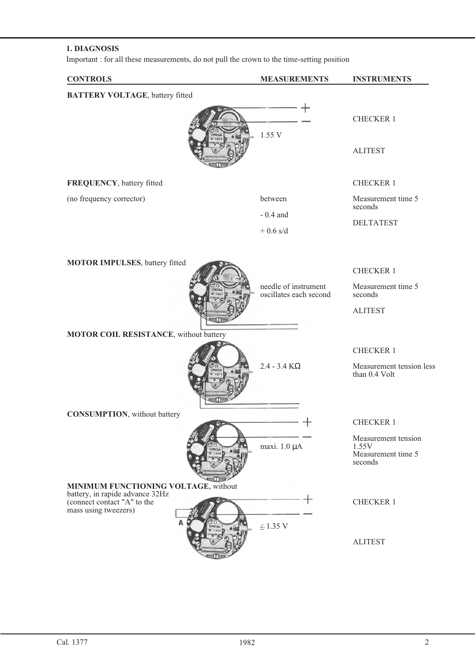## **1. DIAGNOSIS**

Important : for all these measurements, do not pull the crown to the time-setting position

| <b>CONTROLS</b>                                                                                                                | <b>MEASUREMENTS</b>                            | <b>INSTRUMENTS</b>                                            |
|--------------------------------------------------------------------------------------------------------------------------------|------------------------------------------------|---------------------------------------------------------------|
| <b>BATTERY VOLTAGE</b> , battery fitted                                                                                        |                                                |                                                               |
|                                                                                                                                | 1.55 V                                         | <b>CHECKER 1</b>                                              |
|                                                                                                                                |                                                | <b>ALITEST</b>                                                |
| FREQUENCY, battery fitted                                                                                                      |                                                | <b>CHECKER 1</b>                                              |
| (no frequency corrector)                                                                                                       | between                                        | Measurement time 5<br>seconds                                 |
|                                                                                                                                | $-0.4$ and                                     | <b>DELTATEST</b>                                              |
|                                                                                                                                | $+0.6$ s/d                                     |                                                               |
| MOTOR IMPULSES, battery fitted                                                                                                 |                                                | <b>CHECKER 1</b>                                              |
|                                                                                                                                | needle of instrument<br>oscillates each second | Measurement time 5<br>seconds                                 |
|                                                                                                                                |                                                | <b>ALITEST</b>                                                |
| MOTOR COIL RESISTANCE, without battery                                                                                         |                                                |                                                               |
| OMEC                                                                                                                           | $2.4 - 3.4$ K $\Omega$                         | <b>CHECKER 1</b><br>Measurement tension less<br>than 0.4 Volt |
| <b>CONSUMPTION</b> , without battery                                                                                           |                                                | <b>CHECKER 1</b>                                              |
| OMEG                                                                                                                           | maxi. 1.0 µA                                   | Measurement tension<br>1.55V<br>Measurement time 5<br>seconds |
| MINIMUM FUNCTIONING VOLTAGE, without<br>battery, in rapide advance 32Hz<br>(connect contact "A" to the<br>mass using tweezers) |                                                | <b>CHECKER 1</b>                                              |
|                                                                                                                                | $\leq$ 1.35 V                                  | <b>ALITEST</b>                                                |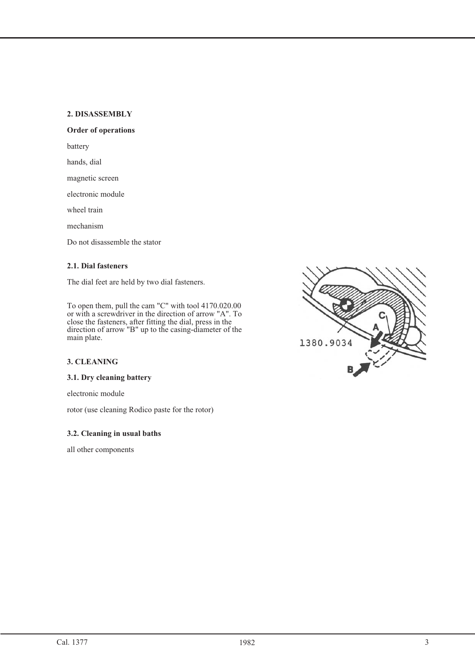## **2. DISASSEMBLY**

## **Order of operations**

battery

hands, dial

magnetic screen

electronic module

wheel train

mechanism

Do not disassemble the stator

## **2.1. Dial fasteners**

The dial feet are held by two dial fasteners.

To open them, pull the cam "C" with tool 4170.020.00 or with a screwdriver in the direction of arrow "A". To close the fasteners, after fitting the dial, press in the direction of arrow "B" up to the casing-diameter of the main plate.

## **3. CLEANING**

### **3.1. Dry cleaning battery**

electronic module

rotor (use cleaning Rodico paste for the rotor)

### **3.2. Cleaning in usual baths**

all other components

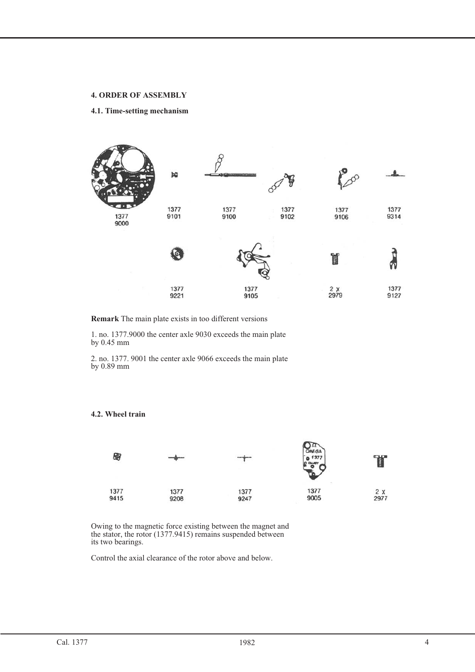#### **4. ORDER OF ASSEMBLY 4. ORDER OF ASSEMBLY**

#### **4.1. Time-setting mechanism**



**Remark** The main plate exists in too different versions

1. no. 1377.9000 the center axle 9030 exceeds the main plate by 0.45 mm

2. no. 1377. 9001 the center axle 9066 exceeds the main plate by 0.89 mm



Owing to the magnetic force existing between the magnet and the stator, the rotor (1377.9415) remains suspended between its two bearings.

Control the axial clearance of the rotor above and below.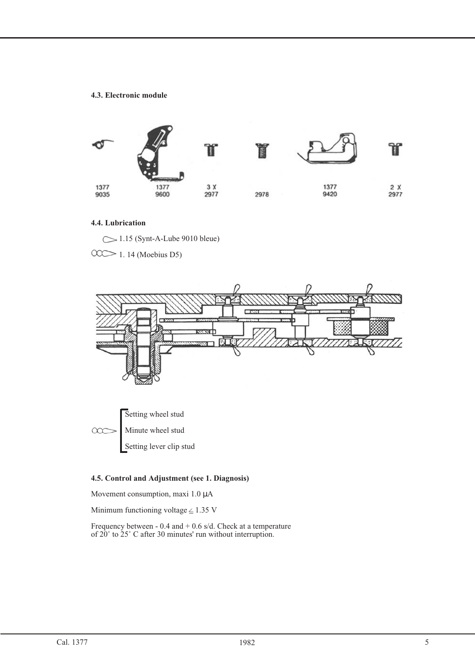## **4.3. Electronic module**



## **4.4. Lubrication**

 $\sim$  1.15 (Synt-A-Lube 9010 bleue)

00 1. 14 (Moebius D5)



Setting lever clip stud

## **4.5. Control and Adjustment (see 1. Diagnosis)**

Movement consumption, maxi 1.0  $\mu$ A

Minimum functioning voltage  $\leq$  1.35 V

Frequency between - 0.4 and + 0.6 s/d. Check at a temperature of 20˚ to 25˚ C after 30 minutes' run without interruption.